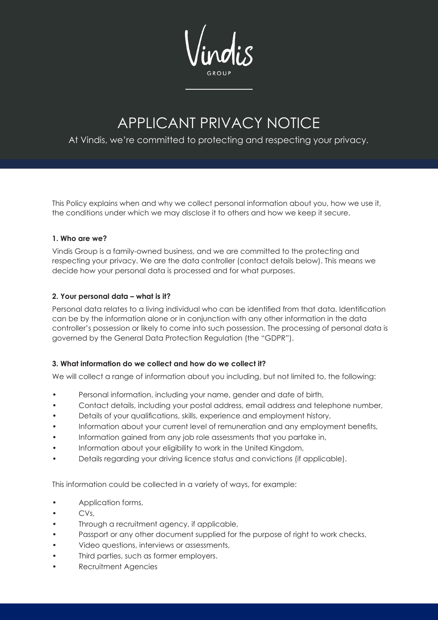# APPLICANT PRIVACY NOTICE

# At Vindis, we're committed to protecting and respecting your privacy.

This Policy explains when and why we collect personal information about you, how we use it, the conditions under which we may disclose it to others and how we keep it secure.

# **1. Who are we?**

Vindis Group is a family-owned business, and we are committed to the protecting and respecting your privacy. We are the data controller (contact details below). This means we decide how your personal data is processed and for what purposes.

# **2. Your personal data – what is it?**

Personal data relates to a living individual who can be identified from that data. Identification can be by the information alone or in conjunction with any other information in the data controller's possession or likely to come into such possession. The processing of personal data is governed by the General Data Protection Regulation (the "GDPR").

# **3. What information do we collect and how do we collect it?**

We will collect a range of information about you including, but not limited to, the following:

- Personal information, including your name, gender and date of birth,
- Contact details, including your postal address, email address and telephone number,
- Details of your qualifications, skills, experience and employment history,
- Information about your current level of remuneration and any employment benefits,
- Information gained from any job role assessments that you partake in,
- Information about your eligibility to work in the United Kingdom,
- Details regarding your driving licence status and convictions (if applicable).

This information could be collected in a variety of ways, for example:

- Application forms,
- $CVs$ .
- Through a recruitment agency, if applicable,
- Passport or any other document supplied for the purpose of right to work checks,
- Video questions, interviews or assessments,
- Third parties, such as former employers.
- Recruitment Agencies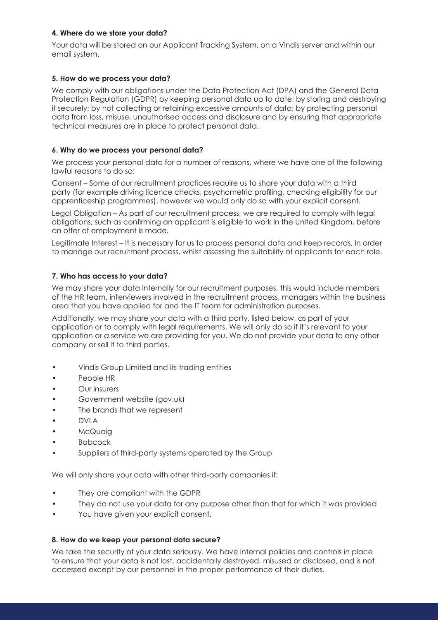# **4. Where do we store your data?**

Your data will be stored on our Applicant Tracking System, on a Vindis server and within our email system.

#### **5. How do we process your data?**

We comply with our obligations under the Data Protection Act (DPA) and the General Data Protection Regulation (GDPR) by keeping personal data up to date; by storing and destroying it securely; by not collecting or retaining excessive amounts of data; by protecting personal data from loss, misuse, unauthorised access and disclosure and by ensuring that appropriate technical measures are in place to protect personal data.

#### **6. Why do we process your personal data?**

We process your personal data for a number of reasons, where we have one of the following lawful reasons to do so:

Consent – Some of our recruitment practices require us to share your data with a third party (for example driving licence checks, psychometric profiling, checking eligibility for our apprenticeship programmes), however we would only do so with your explicit consent.

Legal Obligation – As part of our recruitment process, we are required to comply with legal obligations, such as confirming an applicant is eligible to work in the United Kingdom, before an offer of employment is made.

Legitimate Interest – It is necessary for us to process personal data and keep records, in order to manage our recruitment process, whilst assessing the suitability of applicants for each role.

#### **7. Who has access to your data?**

We may share your data internally for our recruitment purposes, this would include members of the HR team, interviewers involved in the recruitment process, managers within the business area that you have applied for and the IT team for administration purposes.

Additionally, we may share your data with a third party, listed below, as part of your application or to comply with legal requirements. We will only do so if it's relevant to your application or a service we are providing for you. We do not provide your data to any other company or sell it to third parties.

- Vindis Group Limited and its trading entities
- People HR
- Our insurers
- Government website (gov.uk)
- The brands that we represent
- DVLA
- McQuaia
- Babcock
- Suppliers of third-party systems operated by the Group

We will only share your data with other third-party companies if:

- They are compliant with the GDPR
- They do not use your data for any purpose other than that for which it was provided
- You have given your explicit consent.

#### **8. How do we keep your personal data secure?**

We take the security of your data seriously. We have internal policies and controls in place to ensure that your data is not lost, accidentally destroyed, misused or disclosed, and is not accessed except by our personnel in the proper performance of their duties.